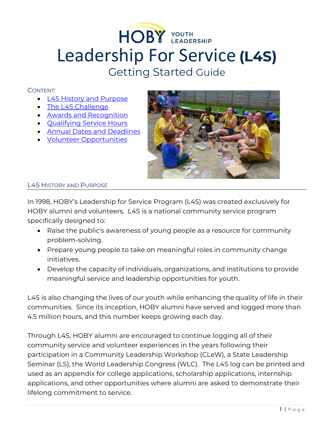# HOBY YOUTH Leadership For Service **(L4S)** Getting Started Guide

# CONTENT:

- [L4S History and Purpose](#page-0-0)
- [The L4S Challenge](#page-1-0)
- [Awards and Recognition](#page-1-1)
- [Qualifying Service Hours](#page-2-0)
- [Annual Dates and Deadlines](#page-4-0)
- [Volunteer Opportunities](#page-5-0)



## <span id="page-0-0"></span>L4S HISTORY AND PURPOSE

In 1998, HOBY's Leadership for Service Program (L4S) was created exclusively for HOBY alumni and volunteers. L4S is a national community service program specifically designed to:

- Raise the public's awareness of young people as a resource for community problem-solving.
- Prepare young people to take on meaningful roles in community change initiatives.
- Develop the capacity of individuals, organizations, and institutions to provide meaningful service and leadership opportunities for youth.

L4S is also changing the lives of our youth while enhancing the quality of life in their communities. Since its inception, HOBY alumni have served and logged more than 4.5 million hours, and this number keeps growing each day.

Through L4S, HOBY alumni are encouraged to continue logging all of their community service and volunteer experiences in the years following their participation in a Community Leadership Workshop (CLeW), a State Leadership Seminar (LS), the World Leadership Congress (WLC). The L4S log can be printed and used as an appendix for college applications, scholarship applications, internship applications, and other opportunities where alumni are asked to demonstrate their lifelong commitment to service.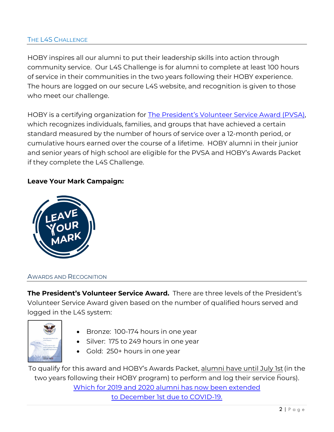# <span id="page-1-0"></span>THE L4S CHALLENGE

HOBY inspires all our alumni to put their leadership skills into action through community service. Our L4S Challenge is for alumni to complete at least 100 hours of service in their communities in the two years following their HOBY experience. The hours are logged on our secure L4S website, and recognition is given to those who meet our challenge.

HOBY is a certifying organization for [The President's Volunteer Service Award \(PVSA\),](http://www.presidentialserviceawards.gov/) which recognizes individuals, families, and groups that have achieved a certain standard measured by the number of hours of service over a 12-month period, or cumulative hours earned over the course of a lifetime. HOBY alumni in their junior and senior years of high school are eligible for the PVSA and HOBY's Awards Packet if they complete the L4S Challenge.

# **Leave Your Mark Campaign:**



#### <span id="page-1-1"></span>AWARDS AND RECOGNITION

**The President's Volunteer Service Award.** There are three levels of the President's Volunteer Service Award given based on the number of qualified hours served and logged in the L4S system:



- Bronze: 100-174 hours in one year
- Silver: 175 to 249 hours in one year
- Gold: 250+ hours in one year

To qualify for this award and HOBY's Awards Packet, alumni have until July 1st (in the two years following their HOBY program) to perform and log their service hours). Which for 2019 and 2020 alumni has now been extended to December 1st due to COVID-19.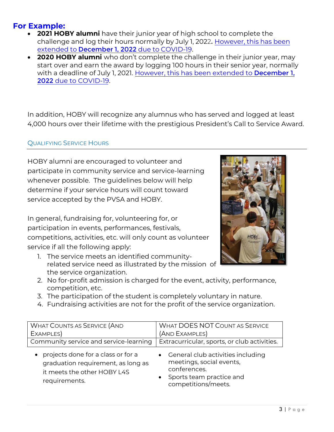# **For Example:**

- **2021 HOBY alumni** have their junior year of high school to complete the challenge and log their hours normally by July 1, 2022. However, this has been extended to December 1, 2022 due to COVID-19.
- **2020 HOBY alumni** who don't complete the challenge in their junior year, may start over and earn the award by logging 100 hours in their senior year, normally with a deadline of July 1, 2021. However, this has been extended to December 1, 2022 due to COVID-19.

In addition, HOBY will recognize any alumnus who has served and logged at least 4,000 hours over their lifetime with the prestigious President's Call to Service Award.

## QUALIFYING SERVICE HOURS

HOBY alumni are encouraged to volunteer and participate in community service and service-learning whenever possible. The guidelines below will help determine if your service hours will count toward service accepted by the PVSA and HOBY.

<span id="page-2-0"></span>In general, fundraising for, volunteering for, or participation in events, performances, festivals, competitions, activities, etc. will only count as volunteer service if all the following apply:

1. The service meets an identified communityrelated service need as illustrated by the mission of the service organization.



- 2. No for-profit admission is charged for the event, activity, performance, competition, etc.
- 3. The participation of the student is completely voluntary in nature.
- 4. Fundraising activities are not for the profit of the service organization.

| <b>WHAT COUNTS AS SERVICE (AND</b>                                                                                       | <b>WHAT DOES NOT COUNT AS SERVICE</b>                                                                                              |
|--------------------------------------------------------------------------------------------------------------------------|------------------------------------------------------------------------------------------------------------------------------------|
| EXAMPLES)                                                                                                                | (AND EXAMPLES)                                                                                                                     |
| Community service and service-learning                                                                                   | Extracurricular, sports, or club activities.                                                                                       |
| projects done for a class or for a<br>graduation requirement, as long as<br>it meets the other HOBY L4S<br>requirements. | • General club activities including<br>meetings, social events,<br>conferences.<br>Sports team practice and<br>competitions/meets. |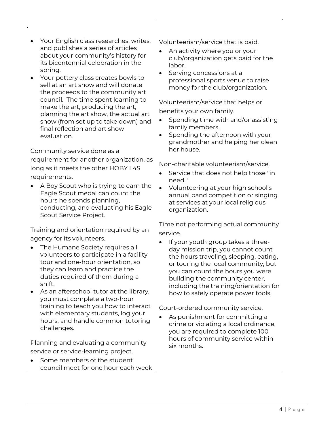- Your English class researches, writes, and publishes a series of articles about your community's history for its bicentennial celebration in the spring.
- Your pottery class creates bowls to sell at an art show and will donate the proceeds to the community art council. The time spent learning to make the art, producing the art, planning the art show, the actual art show (from set up to take down) and final reflection and art show evaluation.

### Community service done as a

requirement for another organization, as long as it meets the other HOBY L4S requirements.

• A Boy Scout who is trying to earn the Eagle Scout medal can count the hours he spends planning, conducting, and evaluating his Eagle Scout Service Project.

Training and orientation required by an agency for its volunteers.

- The Humane Society requires all volunteers to participate in a facility tour and one-hour orientation, so they can learn and practice the duties required of them during a shift.
- As an afterschool tutor at the library, you must complete a two-hour training to teach you how to interact with elementary students, log your hours, and handle common tutoring challenges.

Planning and evaluating a community service or service-learning project.

Some members of the student council meet for one hour each week

Volunteerism/service that is paid.

- An activity where you or your club/organization gets paid for the labor.
- Serving concessions at a professional sports venue to raise money for the club/organization.

Volunteerism/service that helps or benefits your own family.

- Spending time with and/or assisting family members.
- Spending the afternoon with your grandmother and helping her clean her house.

Non-charitable volunteerism/service.

- Service that does not help those "in need."
- Volunteering at your high school's annual band competition or singing at services at your local religious organization.

Time not performing actual community service.

If your youth group takes a threeday mission trip, you cannot count the hours traveling, sleeping, eating, or touring the local community; but you can count the hours you were building the community center, including the training/orientation for how to safely operate power tools.

Court-ordered community service.

As punishment for committing a crime or violating a local ordinance, you are required to complete 100 hours of community service within six months.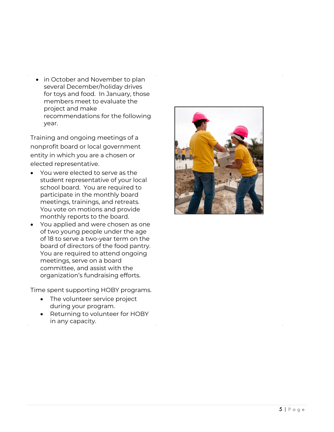• in October and November to plan several December/holiday drives for toys and food. In January, those members meet to evaluate th e project and make recommendations for the following year.

Training and ongoing meetings of a nonprofit board or local government entity in which you are a chosen or elected representative.

- You were elected to serve as the student representative of your local school board. You are required to participate in the monthly board meetings, trainings, and retreats. You vote on motions and provide monthly reports to the board.
- You applied and were chosen as one of two young people under the age of 18 to serve a two -year term on the board of directors of the food pantry. You are required to attend ongoing meetings, serve on a board committee, and assist with the organization's fundraising efforts.

<span id="page-4-0"></span>Time spent supporting HOBY programs.

- The volunteer service project during your program.
- Returning to volunteer for HOBY in any capacity.

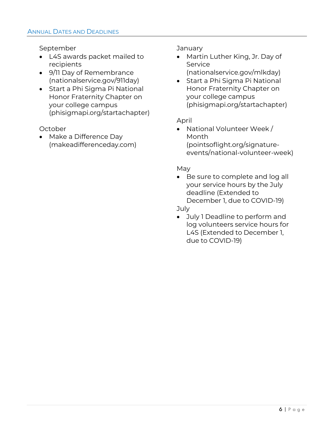September

- L4S awards packet mailed to recipients
- 9/11 Day of Remembrance (nationalservice.gov/911day)
- Start a Phi Sigma Pi National Honor Fraternity Chapter on your college campus (phisigmapi.org/startachapter)

October

<span id="page-5-0"></span>• Make a Difference Day (makeadifferenceday.com) January

- Martin Luther King, Jr. Day of **Service** 
	- (nationalservice.gov/mlkday)
- Start a Phi Sigma Pi National Honor Fraternity Chapter on your college campus (phisigmapi.org/startachapter)

# April

• National Volunteer Week / Month (pointsoflight.org/signatureevents/national-volunteer-week)

# May

• Be sure to complete and log all your service hours by the July deadline (Extended to December 1, due to COVID-19)

July

• July 1 Deadline to perform and log volunteers service hours for L4S (Extended to December 1, due to COVID-19)